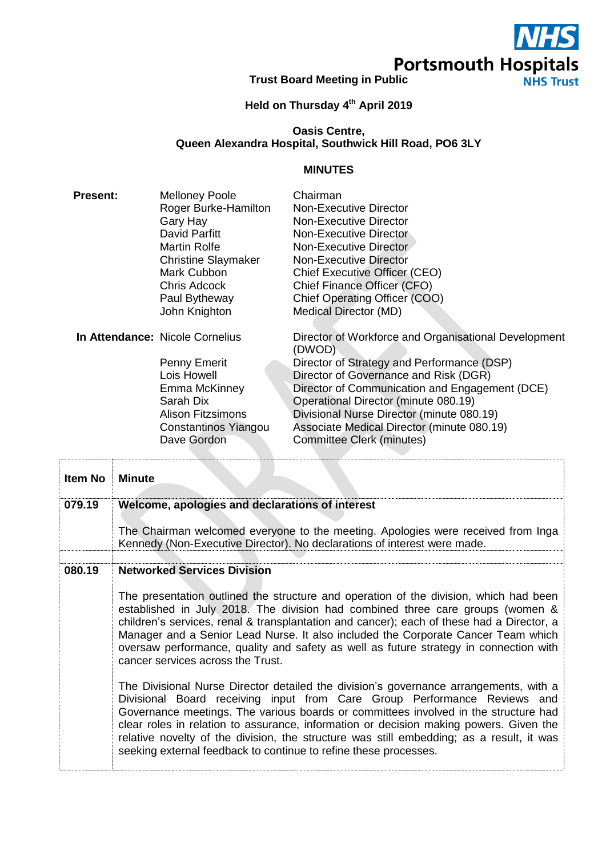**Portsmouth Hospitals**<br>Trust Board Meeting in Public<br>NHS Trust

## **Held on Thursday 4 th April 2019**

# **Oasis Centre, Queen Alexandra Hospital, Southwick Hill Road, PO6 3LY**

## **MINUTES**

| <b>Present:</b> | <b>Melloney Poole</b>                  | Chairman                                                       |
|-----------------|----------------------------------------|----------------------------------------------------------------|
|                 | Roger Burke-Hamilton                   | Non-Executive Director                                         |
|                 | Gary Hay                               | Non-Executive Director                                         |
|                 | David Parfitt                          | Non-Executive Director                                         |
|                 | Martin Rolfe                           | Non-Executive Director                                         |
|                 | <b>Christine Slaymaker</b>             | <b>Non-Executive Director</b>                                  |
|                 | Mark Cubbon                            | <b>Chief Executive Officer (CEO)</b>                           |
|                 | Chris Adcock                           | Chief Finance Officer (CFO)                                    |
|                 | Paul Bytheway                          | Chief Operating Officer (COO)                                  |
|                 | John Knighton                          | Medical Director (MD)                                          |
|                 |                                        |                                                                |
|                 | <b>In Attendance: Nicole Cornelius</b> | Director of Workforce and Organisational Development<br>(DWOD) |
|                 | <b>Penny Emerit</b>                    | Director of Strategy and Performance (DSP)                     |
|                 | Lois Howell                            | Director of Governance and Risk (DGR)                          |
|                 | Emma McKinney                          | Director of Communication and Engagement (DCE)                 |
|                 | Sarah Dix                              | Operational Director (minute 080.19)                           |
|                 | <b>Alison Fitzsimons</b>               | Divisional Nurse Director (minute 080.19)                      |
|                 | Constantinos Yiangou                   | Associate Medical Director (minute 080.19)                     |
|                 | Dave Gordon                            | Committee Clerk (minutes)                                      |
|                 |                                        |                                                                |

| Item No | <b>Minute</b>                                                                                                                                                                                                                                                                                                                                                                                                                                                                                                      |
|---------|--------------------------------------------------------------------------------------------------------------------------------------------------------------------------------------------------------------------------------------------------------------------------------------------------------------------------------------------------------------------------------------------------------------------------------------------------------------------------------------------------------------------|
| 079.19  | Welcome, apologies and declarations of interest                                                                                                                                                                                                                                                                                                                                                                                                                                                                    |
|         | The Chairman welcomed everyone to the meeting. Apologies were received from Inga<br>Kennedy (Non-Executive Director). No declarations of interest were made.                                                                                                                                                                                                                                                                                                                                                       |
| 080.19  | <b>Networked Services Division</b>                                                                                                                                                                                                                                                                                                                                                                                                                                                                                 |
|         | The presentation outlined the structure and operation of the division, which had been<br>established in July 2018. The division had combined three care groups (women &<br>children's services, renal & transplantation and cancer); each of these had a Director, a<br>Manager and a Senior Lead Nurse. It also included the Corporate Cancer Team which<br>oversaw performance, quality and safety as well as future strategy in connection with<br>cancer services across the Trust.                            |
|         | The Divisional Nurse Director detailed the division's governance arrangements, with a<br>Divisional Board receiving input from Care Group Performance Reviews and<br>Governance meetings. The various boards or committees involved in the structure had<br>clear roles in relation to assurance, information or decision making powers. Given the<br>relative novelty of the division, the structure was still embedding; as a result, it was<br>seeking external feedback to continue to refine these processes. |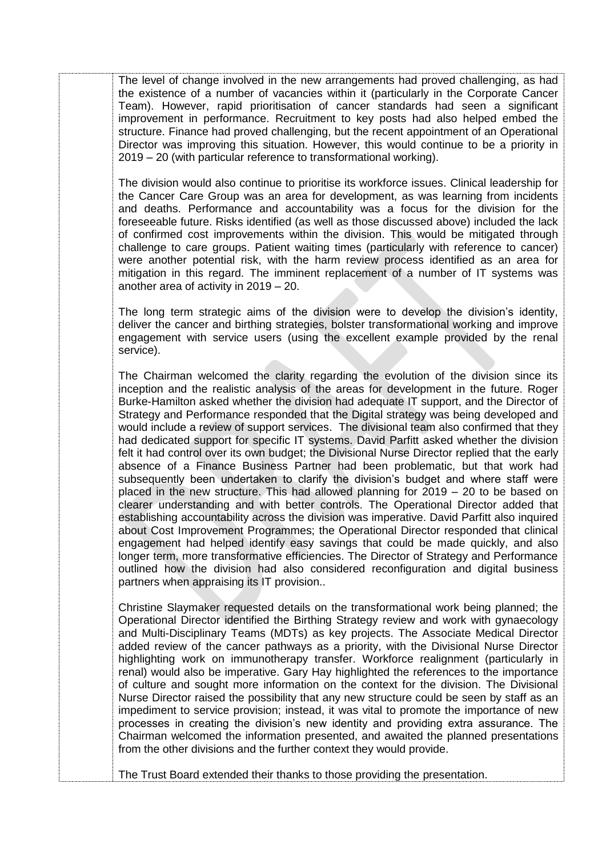The level of change involved in the new arrangements had proved challenging, as had the existence of a number of vacancies within it (particularly in the Corporate Cancer Team). However, rapid prioritisation of cancer standards had seen a significant improvement in performance. Recruitment to key posts had also helped embed the structure. Finance had proved challenging, but the recent appointment of an Operational Director was improving this situation. However, this would continue to be a priority in 2019 – 20 (with particular reference to transformational working).

The division would also continue to prioritise its workforce issues. Clinical leadership for the Cancer Care Group was an area for development, as was learning from incidents and deaths. Performance and accountability was a focus for the division for the foreseeable future. Risks identified (as well as those discussed above) included the lack of confirmed cost improvements within the division. This would be mitigated through challenge to care groups. Patient waiting times (particularly with reference to cancer) were another potential risk, with the harm review process identified as an area for mitigation in this regard. The imminent replacement of a number of IT systems was another area of activity in 2019 – 20.

The long term strategic aims of the division were to develop the division's identity, deliver the cancer and birthing strategies, bolster transformational working and improve engagement with service users (using the excellent example provided by the renal service).

The Chairman welcomed the clarity regarding the evolution of the division since its inception and the realistic analysis of the areas for development in the future. Roger Burke-Hamilton asked whether the division had adequate IT support, and the Director of Strategy and Performance responded that the Digital strategy was being developed and would include a review of support services. The divisional team also confirmed that they had dedicated support for specific IT systems. David Parfitt asked whether the division felt it had control over its own budget; the Divisional Nurse Director replied that the early absence of a Finance Business Partner had been problematic, but that work had subsequently been undertaken to clarify the division's budget and where staff were placed in the new structure. This had allowed planning for 2019 – 20 to be based on clearer understanding and with better controls. The Operational Director added that establishing accountability across the division was imperative. David Parfitt also inquired about Cost Improvement Programmes; the Operational Director responded that clinical engagement had helped identify easy savings that could be made quickly, and also longer term, more transformative efficiencies. The Director of Strategy and Performance outlined how the division had also considered reconfiguration and digital business partners when appraising its IT provision..

Christine Slaymaker requested details on the transformational work being planned; the Operational Director identified the Birthing Strategy review and work with gynaecology and Multi-Disciplinary Teams (MDTs) as key projects. The Associate Medical Director added review of the cancer pathways as a priority, with the Divisional Nurse Director highlighting work on immunotherapy transfer. Workforce realignment (particularly in renal) would also be imperative. Gary Hay highlighted the references to the importance of culture and sought more information on the context for the division. The Divisional Nurse Director raised the possibility that any new structure could be seen by staff as an impediment to service provision; instead, it was vital to promote the importance of new processes in creating the division's new identity and providing extra assurance. The Chairman welcomed the information presented, and awaited the planned presentations from the other divisions and the further context they would provide.

The Trust Board extended their thanks to those providing the presentation.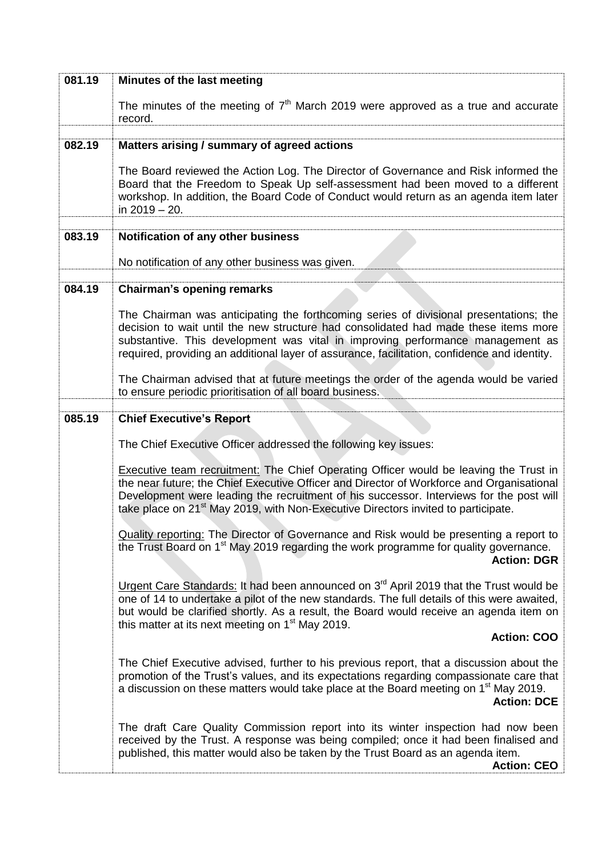| 081.19 | Minutes of the last meeting                                                                                                                                                                                                                                                                                                                                                           |
|--------|---------------------------------------------------------------------------------------------------------------------------------------------------------------------------------------------------------------------------------------------------------------------------------------------------------------------------------------------------------------------------------------|
|        | The minutes of the meeting of $7th$ March 2019 were approved as a true and accurate<br>record.                                                                                                                                                                                                                                                                                        |
|        |                                                                                                                                                                                                                                                                                                                                                                                       |
| 082.19 | Matters arising / summary of agreed actions                                                                                                                                                                                                                                                                                                                                           |
|        | The Board reviewed the Action Log. The Director of Governance and Risk informed the<br>Board that the Freedom to Speak Up self-assessment had been moved to a different<br>workshop. In addition, the Board Code of Conduct would return as an agenda item later<br>in $2019 - 20$ .                                                                                                  |
| 083.19 | Notification of any other business                                                                                                                                                                                                                                                                                                                                                    |
|        | No notification of any other business was given.                                                                                                                                                                                                                                                                                                                                      |
|        |                                                                                                                                                                                                                                                                                                                                                                                       |
| 084.19 | <b>Chairman's opening remarks</b>                                                                                                                                                                                                                                                                                                                                                     |
|        | The Chairman was anticipating the forthcoming series of divisional presentations; the<br>decision to wait until the new structure had consolidated had made these items more<br>substantive. This development was vital in improving performance management as<br>required, providing an additional layer of assurance, facilitation, confidence and identity.                        |
|        | The Chairman advised that at future meetings the order of the agenda would be varied<br>to ensure periodic prioritisation of all board business.                                                                                                                                                                                                                                      |
| 085.19 | <b>Chief Executive's Report</b>                                                                                                                                                                                                                                                                                                                                                       |
|        | The Chief Executive Officer addressed the following key issues:                                                                                                                                                                                                                                                                                                                       |
|        | <b>Executive team recruitment:</b> The Chief Operating Officer would be leaving the Trust in<br>the near future; the Chief Executive Officer and Director of Workforce and Organisational<br>Development were leading the recruitment of his successor. Interviews for the post will<br>take place on 21 <sup>st</sup> May 2019, with Non-Executive Directors invited to participate. |
|        | <b>Quality reporting:</b> The Director of Governance and Risk would be presenting a report to<br>the Trust Board on 1 <sup>st</sup> May 2019 regarding the work programme for quality governance.<br><b>Action: DGR</b>                                                                                                                                                               |
|        | Urgent Care Standards: It had been announced on 3 <sup>rd</sup> April 2019 that the Trust would be<br>one of 14 to undertake a pilot of the new standards. The full details of this were awaited,<br>but would be clarified shortly. As a result, the Board would receive an agenda item on<br>this matter at its next meeting on 1 <sup>st</sup> May 2019.                           |
|        | <b>Action: COO</b>                                                                                                                                                                                                                                                                                                                                                                    |
|        | The Chief Executive advised, further to his previous report, that a discussion about the<br>promotion of the Trust's values, and its expectations regarding compassionate care that<br>a discussion on these matters would take place at the Board meeting on 1 <sup>st</sup> May 2019.<br><b>Action: DCE</b>                                                                         |
|        | The draft Care Quality Commission report into its winter inspection had now been<br>received by the Trust. A response was being compiled; once it had been finalised and<br>published, this matter would also be taken by the Trust Board as an agenda item.<br><b>Action: CEO</b>                                                                                                    |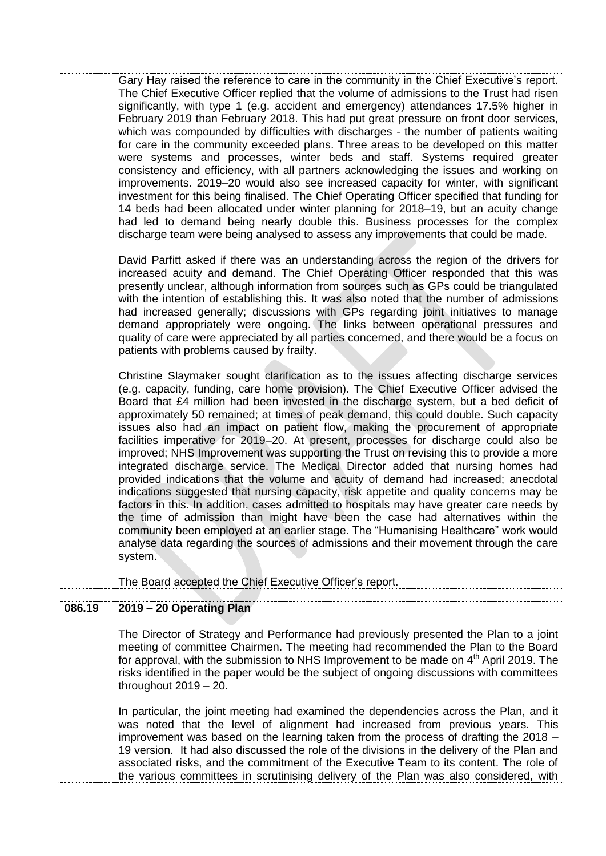|        | Gary Hay raised the reference to care in the community in the Chief Executive's report.<br>The Chief Executive Officer replied that the volume of admissions to the Trust had risen<br>significantly, with type 1 (e.g. accident and emergency) attendances 17.5% higher in<br>February 2019 than February 2018. This had put great pressure on front door services,<br>which was compounded by difficulties with discharges - the number of patients waiting<br>for care in the community exceeded plans. Three areas to be developed on this matter<br>were systems and processes, winter beds and staff. Systems required greater<br>consistency and efficiency, with all partners acknowledging the issues and working on<br>improvements. 2019–20 would also see increased capacity for winter, with significant<br>investment for this being finalised. The Chief Operating Officer specified that funding for<br>14 beds had been allocated under winter planning for 2018–19, but an acuity change<br>had led to demand being nearly double this. Business processes for the complex<br>discharge team were being analysed to assess any improvements that could be made.<br>David Parfitt asked if there was an understanding across the region of the drivers for<br>increased acuity and demand. The Chief Operating Officer responded that this was<br>presently unclear, although information from sources such as GPs could be triangulated<br>with the intention of establishing this. It was also noted that the number of admissions<br>had increased generally; discussions with GPs regarding joint initiatives to manage<br>demand appropriately were ongoing. The links between operational pressures and<br>quality of care were appreciated by all parties concerned, and there would be a focus on<br>patients with problems caused by frailty.<br>Christine Slaymaker sought clarification as to the issues affecting discharge services<br>(e.g. capacity, funding, care home provision). The Chief Executive Officer advised the<br>Board that £4 million had been invested in the discharge system, but a bed deficit of<br>approximately 50 remained; at times of peak demand, this could double. Such capacity<br>issues also had an impact on patient flow, making the procurement of appropriate<br>facilities imperative for 2019-20. At present, processes for discharge could also be<br>improved; NHS Improvement was supporting the Trust on revising this to provide a more<br>integrated discharge service. The Medical Director added that nursing homes had<br>provided indications that the volume and acuity of demand had increased; anecdotal<br>indications suggested that nursing capacity, risk appetite and quality concerns may be<br>factors in this. In addition, cases admitted to hospitals may have greater care needs by<br>the time of admission than might have been the case had alternatives within the<br>community been employed at an earlier stage. The "Humanising Healthcare" work would<br>analyse data regarding the sources of admissions and their movement through the care<br>system. |
|--------|---------------------------------------------------------------------------------------------------------------------------------------------------------------------------------------------------------------------------------------------------------------------------------------------------------------------------------------------------------------------------------------------------------------------------------------------------------------------------------------------------------------------------------------------------------------------------------------------------------------------------------------------------------------------------------------------------------------------------------------------------------------------------------------------------------------------------------------------------------------------------------------------------------------------------------------------------------------------------------------------------------------------------------------------------------------------------------------------------------------------------------------------------------------------------------------------------------------------------------------------------------------------------------------------------------------------------------------------------------------------------------------------------------------------------------------------------------------------------------------------------------------------------------------------------------------------------------------------------------------------------------------------------------------------------------------------------------------------------------------------------------------------------------------------------------------------------------------------------------------------------------------------------------------------------------------------------------------------------------------------------------------------------------------------------------------------------------------------------------------------------------------------------------------------------------------------------------------------------------------------------------------------------------------------------------------------------------------------------------------------------------------------------------------------------------------------------------------------------------------------------------------------------------------------------------------------------------------------------------------------------------------------------------------------------------------------------------------------------------------------------------------------------------------------------------------------------------------------------------------------------------------------------------------------------------------------------------------------------------------------------------------------------------------------------------------------------------------------------------------------------------------------------------------|
|        | The Board accepted the Chief Executive Officer's report.                                                                                                                                                                                                                                                                                                                                                                                                                                                                                                                                                                                                                                                                                                                                                                                                                                                                                                                                                                                                                                                                                                                                                                                                                                                                                                                                                                                                                                                                                                                                                                                                                                                                                                                                                                                                                                                                                                                                                                                                                                                                                                                                                                                                                                                                                                                                                                                                                                                                                                                                                                                                                                                                                                                                                                                                                                                                                                                                                                                                                                                                                                      |
| 086.19 | 2019 - 20 Operating Plan                                                                                                                                                                                                                                                                                                                                                                                                                                                                                                                                                                                                                                                                                                                                                                                                                                                                                                                                                                                                                                                                                                                                                                                                                                                                                                                                                                                                                                                                                                                                                                                                                                                                                                                                                                                                                                                                                                                                                                                                                                                                                                                                                                                                                                                                                                                                                                                                                                                                                                                                                                                                                                                                                                                                                                                                                                                                                                                                                                                                                                                                                                                                      |
|        | The Director of Strategy and Performance had previously presented the Plan to a joint<br>meeting of committee Chairmen. The meeting had recommended the Plan to the Board<br>for approval, with the submission to NHS Improvement to be made on 4 <sup>th</sup> April 2019. The<br>risks identified in the paper would be the subject of ongoing discussions with committees<br>throughout $2019 - 20$ .<br>In particular, the joint meeting had examined the dependencies across the Plan, and it<br>was noted that the level of alignment had increased from previous years. This                                                                                                                                                                                                                                                                                                                                                                                                                                                                                                                                                                                                                                                                                                                                                                                                                                                                                                                                                                                                                                                                                                                                                                                                                                                                                                                                                                                                                                                                                                                                                                                                                                                                                                                                                                                                                                                                                                                                                                                                                                                                                                                                                                                                                                                                                                                                                                                                                                                                                                                                                                           |
|        | improvement was based on the learning taken from the process of drafting the 2018 -<br>19 version. It had also discussed the role of the divisions in the delivery of the Plan and<br>associated risks, and the commitment of the Executive Team to its content. The role of<br>the various committees in scrutinising delivery of the Plan was also considered, with                                                                                                                                                                                                                                                                                                                                                                                                                                                                                                                                                                                                                                                                                                                                                                                                                                                                                                                                                                                                                                                                                                                                                                                                                                                                                                                                                                                                                                                                                                                                                                                                                                                                                                                                                                                                                                                                                                                                                                                                                                                                                                                                                                                                                                                                                                                                                                                                                                                                                                                                                                                                                                                                                                                                                                                         |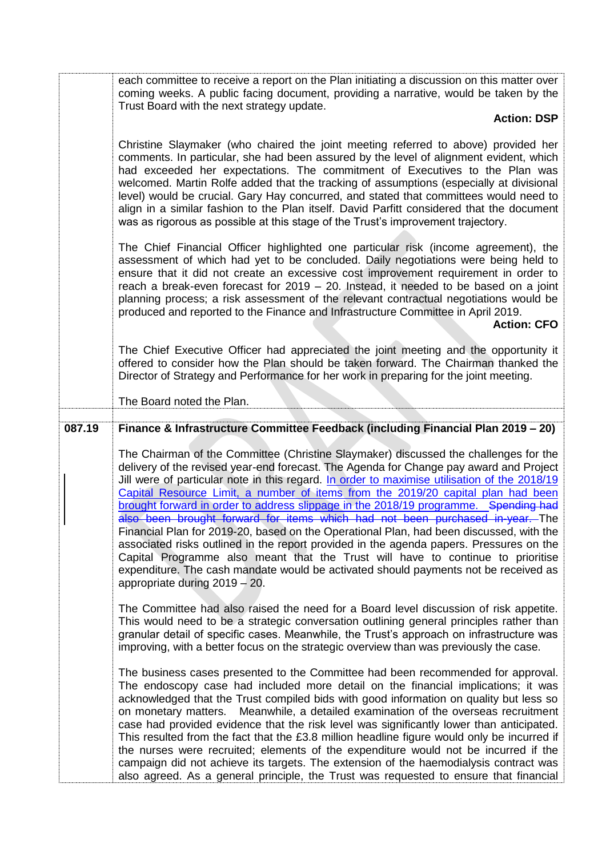each committee to receive a report on the Plan initiating a discussion on this matter over coming weeks. A public facing document, providing a narrative, would be taken by the Trust Board with the next strategy update.

### **Action: DSP**

Christine Slaymaker (who chaired the joint meeting referred to above) provided her comments. In particular, she had been assured by the level of alignment evident, which had exceeded her expectations. The commitment of Executives to the Plan was welcomed. Martin Rolfe added that the tracking of assumptions (especially at divisional level) would be crucial. Gary Hay concurred, and stated that committees would need to align in a similar fashion to the Plan itself. David Parfitt considered that the document was as rigorous as possible at this stage of the Trust's improvement trajectory.

The Chief Financial Officer highlighted one particular risk (income agreement), the assessment of which had yet to be concluded. Daily negotiations were being held to ensure that it did not create an excessive cost improvement requirement in order to reach a break-even forecast for 2019 – 20. Instead, it needed to be based on a joint planning process; a risk assessment of the relevant contractual negotiations would be produced and reported to the Finance and Infrastructure Committee in April 2019.

## **Action: CFO**

The Chief Executive Officer had appreciated the joint meeting and the opportunity it offered to consider how the Plan should be taken forward. The Chairman thanked the Director of Strategy and Performance for her work in preparing for the joint meeting.

### The Board noted the Plan.

# **087.19 Finance & Infrastructure Committee Feedback (including Financial Plan 2019 – 20)**

The Chairman of the Committee (Christine Slaymaker) discussed the challenges for the delivery of the revised year-end forecast. The Agenda for Change pay award and Project Jill were of particular note in this regard. In order to maximise utilisation of the 2018/19 Capital Resource Limit, a number of items from the 2019/20 capital plan had been brought forward in order to address slippage in the 2018/19 programme. Spending had also been brought forward for items which had not been purchased in-year. The Financial Plan for 2019-20, based on the Operational Plan, had been discussed, with the associated risks outlined in the report provided in the agenda papers. Pressures on the Capital Programme also meant that the Trust will have to continue to prioritise expenditure. The cash mandate would be activated should payments not be received as appropriate during 2019 – 20.

The Committee had also raised the need for a Board level discussion of risk appetite. This would need to be a strategic conversation outlining general principles rather than granular detail of specific cases. Meanwhile, the Trust's approach on infrastructure was improving, with a better focus on the strategic overview than was previously the case.

The business cases presented to the Committee had been recommended for approval. The endoscopy case had included more detail on the financial implications; it was acknowledged that the Trust compiled bids with good information on quality but less so on monetary matters. Meanwhile, a detailed examination of the overseas recruitment case had provided evidence that the risk level was significantly lower than anticipated. This resulted from the fact that the £3.8 million headline figure would only be incurred if the nurses were recruited; elements of the expenditure would not be incurred if the campaign did not achieve its targets. The extension of the haemodialysis contract was also agreed. As a general principle, the Trust was requested to ensure that financial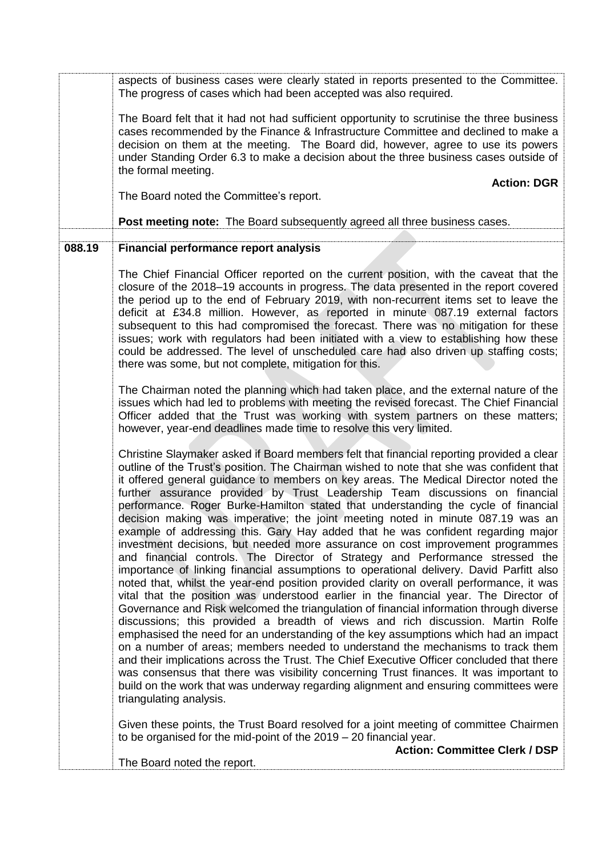aspects of business cases were clearly stated in reports presented to the Committee. The progress of cases which had been accepted was also required.

The Board felt that it had not had sufficient opportunity to scrutinise the three business cases recommended by the Finance & Infrastructure Committee and declined to make a decision on them at the meeting. The Board did, however, agree to use its powers under Standing Order 6.3 to make a decision about the three business cases outside of the formal meeting.

**Action: DGR**

The Board noted the Committee's report.

**Post meeting note:** The Board subsequently agreed all three business cases.

## **088.19 Financial performance report analysis**

The Chief Financial Officer reported on the current position, with the caveat that the closure of the 2018–19 accounts in progress. The data presented in the report covered the period up to the end of February 2019, with non-recurrent items set to leave the deficit at £34.8 million. However, as reported in minute 087.19 external factors subsequent to this had compromised the forecast. There was no mitigation for these issues; work with regulators had been initiated with a view to establishing how these could be addressed. The level of unscheduled care had also driven up staffing costs; there was some, but not complete, mitigation for this.

The Chairman noted the planning which had taken place, and the external nature of the issues which had led to problems with meeting the revised forecast. The Chief Financial Officer added that the Trust was working with system partners on these matters; however, year-end deadlines made time to resolve this very limited.

Christine Slaymaker asked if Board members felt that financial reporting provided a clear outline of the Trust's position. The Chairman wished to note that she was confident that it offered general guidance to members on key areas. The Medical Director noted the further assurance provided by Trust Leadership Team discussions on financial performance. Roger Burke-Hamilton stated that understanding the cycle of financial decision making was imperative; the joint meeting noted in minute 087.19 was an example of addressing this. Gary Hay added that he was confident regarding major investment decisions, but needed more assurance on cost improvement programmes and financial controls. The Director of Strategy and Performance stressed the importance of linking financial assumptions to operational delivery. David Parfitt also noted that, whilst the year-end position provided clarity on overall performance, it was vital that the position was understood earlier in the financial year. The Director of Governance and Risk welcomed the triangulation of financial information through diverse discussions; this provided a breadth of views and rich discussion. Martin Rolfe emphasised the need for an understanding of the key assumptions which had an impact on a number of areas; members needed to understand the mechanisms to track them and their implications across the Trust. The Chief Executive Officer concluded that there was consensus that there was visibility concerning Trust finances. It was important to build on the work that was underway regarding alignment and ensuring committees were triangulating analysis.

Given these points, the Trust Board resolved for a joint meeting of committee Chairmen to be organised for the mid-point of the 2019 – 20 financial year.

The Board noted the report.

**Action: Committee Clerk / DSP**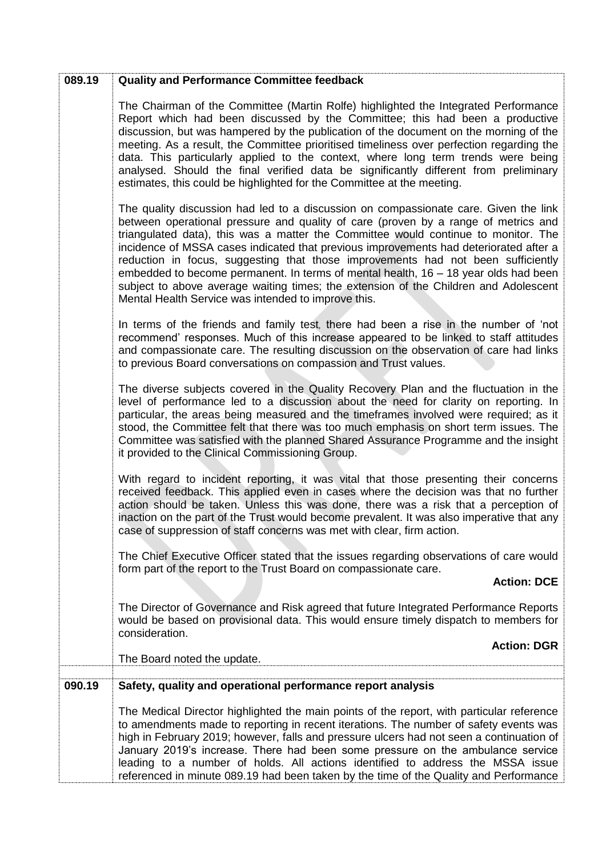| 089.19 | <b>Quality and Performance Committee feedback</b>                                                                                                                                                                                                                                                                                                                                                                                                                                                                                                                                                                                                                                   |
|--------|-------------------------------------------------------------------------------------------------------------------------------------------------------------------------------------------------------------------------------------------------------------------------------------------------------------------------------------------------------------------------------------------------------------------------------------------------------------------------------------------------------------------------------------------------------------------------------------------------------------------------------------------------------------------------------------|
|        | The Chairman of the Committee (Martin Rolfe) highlighted the Integrated Performance<br>Report which had been discussed by the Committee; this had been a productive<br>discussion, but was hampered by the publication of the document on the morning of the<br>meeting. As a result, the Committee prioritised timeliness over perfection regarding the<br>data. This particularly applied to the context, where long term trends were being<br>analysed. Should the final verified data be significantly different from preliminary<br>estimates, this could be highlighted for the Committee at the meeting.                                                                     |
|        | The quality discussion had led to a discussion on compassionate care. Given the link<br>between operational pressure and quality of care (proven by a range of metrics and<br>triangulated data), this was a matter the Committee would continue to monitor. The<br>incidence of MSSA cases indicated that previous improvements had deteriorated after a<br>reduction in focus, suggesting that those improvements had not been sufficiently<br>embedded to become permanent. In terms of mental health, 16 - 18 year olds had been<br>subject to above average waiting times; the extension of the Children and Adolescent<br>Mental Health Service was intended to improve this. |
|        | In terms of the friends and family test, there had been a rise in the number of 'not<br>recommend' responses. Much of this increase appeared to be linked to staff attitudes<br>and compassionate care. The resulting discussion on the observation of care had links<br>to previous Board conversations on compassion and Trust values.                                                                                                                                                                                                                                                                                                                                            |
|        | The diverse subjects covered in the Quality Recovery Plan and the fluctuation in the<br>level of performance led to a discussion about the need for clarity on reporting. In<br>particular, the areas being measured and the timeframes involved were required; as it<br>stood, the Committee felt that there was too much emphasis on short term issues. The<br>Committee was satisfied with the planned Shared Assurance Programme and the insight<br>it provided to the Clinical Commissioning Group.                                                                                                                                                                            |
|        | With regard to incident reporting, it was vital that those presenting their concerns<br>received feedback. This applied even in cases where the decision was that no further<br>action should be taken. Unless this was done, there was a risk that a perception of<br>inaction on the part of the Trust would become prevalent. It was also imperative that any<br>case of suppression of staff concerns was met with clear, firm action.                                                                                                                                                                                                                                          |
|        | The Chief Executive Officer stated that the issues regarding observations of care would<br>form part of the report to the Trust Board on compassionate care.<br><b>Action: DCE</b>                                                                                                                                                                                                                                                                                                                                                                                                                                                                                                  |
|        | The Director of Governance and Risk agreed that future Integrated Performance Reports<br>would be based on provisional data. This would ensure timely dispatch to members for<br>consideration.                                                                                                                                                                                                                                                                                                                                                                                                                                                                                     |
|        | <b>Action: DGR</b><br>The Board noted the update.                                                                                                                                                                                                                                                                                                                                                                                                                                                                                                                                                                                                                                   |
| 090.19 | Safety, quality and operational performance report analysis                                                                                                                                                                                                                                                                                                                                                                                                                                                                                                                                                                                                                         |
|        | The Medical Director highlighted the main points of the report, with particular reference<br>to amendments made to reporting in recent iterations. The number of safety events was<br>high in February 2019; however, falls and pressure ulcers had not seen a continuation of<br>January 2019's increase. There had been some pressure on the ambulance service<br>leading to a number of holds. All actions identified to address the MSSA issue<br>referenced in minute 089.19 had been taken by the time of the Quality and Performance                                                                                                                                         |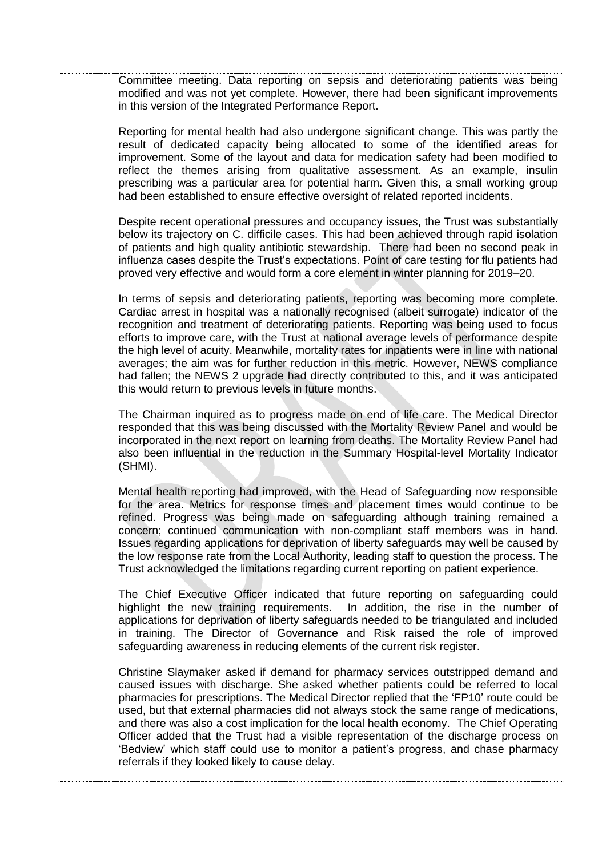Committee meeting. Data reporting on sepsis and deteriorating patients was being modified and was not yet complete. However, there had been significant improvements in this version of the Integrated Performance Report.

Reporting for mental health had also undergone significant change. This was partly the result of dedicated capacity being allocated to some of the identified areas for improvement. Some of the layout and data for medication safety had been modified to reflect the themes arising from qualitative assessment. As an example, insulin prescribing was a particular area for potential harm. Given this, a small working group had been established to ensure effective oversight of related reported incidents.

Despite recent operational pressures and occupancy issues, the Trust was substantially below its trajectory on C. difficile cases. This had been achieved through rapid isolation of patients and high quality antibiotic stewardship. There had been no second peak in influenza cases despite the Trust's expectations. Point of care testing for flu patients had proved very effective and would form a core element in winter planning for 2019–20.

In terms of sepsis and deteriorating patients, reporting was becoming more complete. Cardiac arrest in hospital was a nationally recognised (albeit surrogate) indicator of the recognition and treatment of deteriorating patients. Reporting was being used to focus efforts to improve care, with the Trust at national average levels of performance despite the high level of acuity. Meanwhile, mortality rates for inpatients were in line with national averages; the aim was for further reduction in this metric. However, NEWS compliance had fallen; the NEWS 2 upgrade had directly contributed to this, and it was anticipated this would return to previous levels in future months.

The Chairman inquired as to progress made on end of life care. The Medical Director responded that this was being discussed with the Mortality Review Panel and would be incorporated in the next report on learning from deaths. The Mortality Review Panel had also been influential in the reduction in the Summary Hospital-level Mortality Indicator (SHMI).

Mental health reporting had improved, with the Head of Safeguarding now responsible for the area. Metrics for response times and placement times would continue to be refined. Progress was being made on safeguarding although training remained a concern; continued communication with non-compliant staff members was in hand. Issues regarding applications for deprivation of liberty safeguards may well be caused by the low response rate from the Local Authority, leading staff to question the process. The Trust acknowledged the limitations regarding current reporting on patient experience.

The Chief Executive Officer indicated that future reporting on safeguarding could highlight the new training requirements. In addition, the rise in the number of applications for deprivation of liberty safeguards needed to be triangulated and included in training. The Director of Governance and Risk raised the role of improved safeguarding awareness in reducing elements of the current risk register.

Christine Slaymaker asked if demand for pharmacy services outstripped demand and caused issues with discharge. She asked whether patients could be referred to local pharmacies for prescriptions. The Medical Director replied that the 'FP10' route could be used, but that external pharmacies did not always stock the same range of medications, and there was also a cost implication for the local health economy. The Chief Operating Officer added that the Trust had a visible representation of the discharge process on 'Bedview' which staff could use to monitor a patient's progress, and chase pharmacy referrals if they looked likely to cause delay.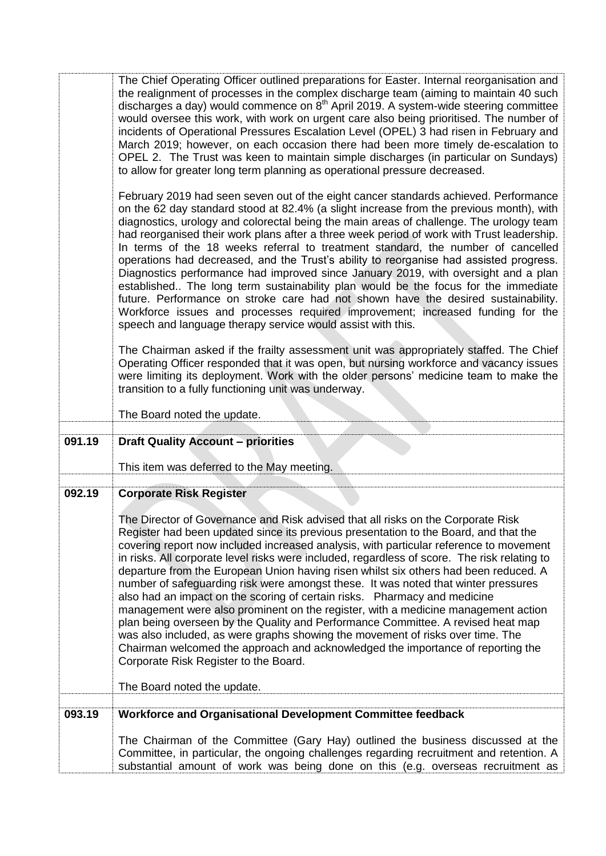|        | The Chief Operating Officer outlined preparations for Easter. Internal reorganisation and<br>the realignment of processes in the complex discharge team (aiming to maintain 40 such<br>discharges a day) would commence on 8 <sup>th</sup> April 2019. A system-wide steering committee<br>would oversee this work, with work on urgent care also being prioritised. The number of<br>incidents of Operational Pressures Escalation Level (OPEL) 3 had risen in February and<br>March 2019; however, on each occasion there had been more timely de-escalation to<br>OPEL 2. The Trust was keen to maintain simple discharges (in particular on Sundays)<br>to allow for greater long term planning as operational pressure decreased.<br>February 2019 had seen seven out of the eight cancer standards achieved. Performance<br>on the 62 day standard stood at 82.4% (a slight increase from the previous month), with<br>diagnostics, urology and colorectal being the main areas of challenge. The urology team<br>had reorganised their work plans after a three week period of work with Trust leadership.<br>In terms of the 18 weeks referral to treatment standard, the number of cancelled<br>operations had decreased, and the Trust's ability to reorganise had assisted progress.<br>Diagnostics performance had improved since January 2019, with oversight and a plan<br>established The long term sustainability plan would be the focus for the immediate<br>future. Performance on stroke care had not shown have the desired sustainability.<br>Workforce issues and processes required improvement; increased funding for the<br>speech and language therapy service would assist with this.<br>The Chairman asked if the frailty assessment unit was appropriately staffed. The Chief<br>Operating Officer responded that it was open, but nursing workforce and vacancy issues<br>were limiting its deployment. Work with the older persons' medicine team to make the<br>transition to a fully functioning unit was underway.<br>The Board noted the update. |
|--------|--------------------------------------------------------------------------------------------------------------------------------------------------------------------------------------------------------------------------------------------------------------------------------------------------------------------------------------------------------------------------------------------------------------------------------------------------------------------------------------------------------------------------------------------------------------------------------------------------------------------------------------------------------------------------------------------------------------------------------------------------------------------------------------------------------------------------------------------------------------------------------------------------------------------------------------------------------------------------------------------------------------------------------------------------------------------------------------------------------------------------------------------------------------------------------------------------------------------------------------------------------------------------------------------------------------------------------------------------------------------------------------------------------------------------------------------------------------------------------------------------------------------------------------------------------------------------------------------------------------------------------------------------------------------------------------------------------------------------------------------------------------------------------------------------------------------------------------------------------------------------------------------------------------------------------------------------------------------------------------------------------------------------------------------------------------------------------------|
|        |                                                                                                                                                                                                                                                                                                                                                                                                                                                                                                                                                                                                                                                                                                                                                                                                                                                                                                                                                                                                                                                                                                                                                                                                                                                                                                                                                                                                                                                                                                                                                                                                                                                                                                                                                                                                                                                                                                                                                                                                                                                                                      |
|        |                                                                                                                                                                                                                                                                                                                                                                                                                                                                                                                                                                                                                                                                                                                                                                                                                                                                                                                                                                                                                                                                                                                                                                                                                                                                                                                                                                                                                                                                                                                                                                                                                                                                                                                                                                                                                                                                                                                                                                                                                                                                                      |
| 091.19 | <b>Draft Quality Account - priorities</b>                                                                                                                                                                                                                                                                                                                                                                                                                                                                                                                                                                                                                                                                                                                                                                                                                                                                                                                                                                                                                                                                                                                                                                                                                                                                                                                                                                                                                                                                                                                                                                                                                                                                                                                                                                                                                                                                                                                                                                                                                                            |
|        | This item was deferred to the May meeting.                                                                                                                                                                                                                                                                                                                                                                                                                                                                                                                                                                                                                                                                                                                                                                                                                                                                                                                                                                                                                                                                                                                                                                                                                                                                                                                                                                                                                                                                                                                                                                                                                                                                                                                                                                                                                                                                                                                                                                                                                                           |
| 092.19 | <b>Corporate Risk Register</b>                                                                                                                                                                                                                                                                                                                                                                                                                                                                                                                                                                                                                                                                                                                                                                                                                                                                                                                                                                                                                                                                                                                                                                                                                                                                                                                                                                                                                                                                                                                                                                                                                                                                                                                                                                                                                                                                                                                                                                                                                                                       |
|        | The Director of Governance and Risk advised that all risks on the Corporate Risk<br>Register had been updated since its previous presentation to the Board, and that the<br>covering report now included increased analysis, with particular reference to movement<br>in risks. All corporate level risks were included, regardless of score. The risk relating to<br>departure from the European Union having risen whilst six others had been reduced. A<br>number of safeguarding risk were amongst these. It was noted that winter pressures<br>also had an impact on the scoring of certain risks. Pharmacy and medicine<br>management were also prominent on the register, with a medicine management action<br>plan being overseen by the Quality and Performance Committee. A revised heat map<br>was also included, as were graphs showing the movement of risks over time. The<br>Chairman welcomed the approach and acknowledged the importance of reporting the<br>Corporate Risk Register to the Board.                                                                                                                                                                                                                                                                                                                                                                                                                                                                                                                                                                                                                                                                                                                                                                                                                                                                                                                                                                                                                                                                 |
|        | The Board noted the update.                                                                                                                                                                                                                                                                                                                                                                                                                                                                                                                                                                                                                                                                                                                                                                                                                                                                                                                                                                                                                                                                                                                                                                                                                                                                                                                                                                                                                                                                                                                                                                                                                                                                                                                                                                                                                                                                                                                                                                                                                                                          |
| 093.19 | Workforce and Organisational Development Committee feedback                                                                                                                                                                                                                                                                                                                                                                                                                                                                                                                                                                                                                                                                                                                                                                                                                                                                                                                                                                                                                                                                                                                                                                                                                                                                                                                                                                                                                                                                                                                                                                                                                                                                                                                                                                                                                                                                                                                                                                                                                          |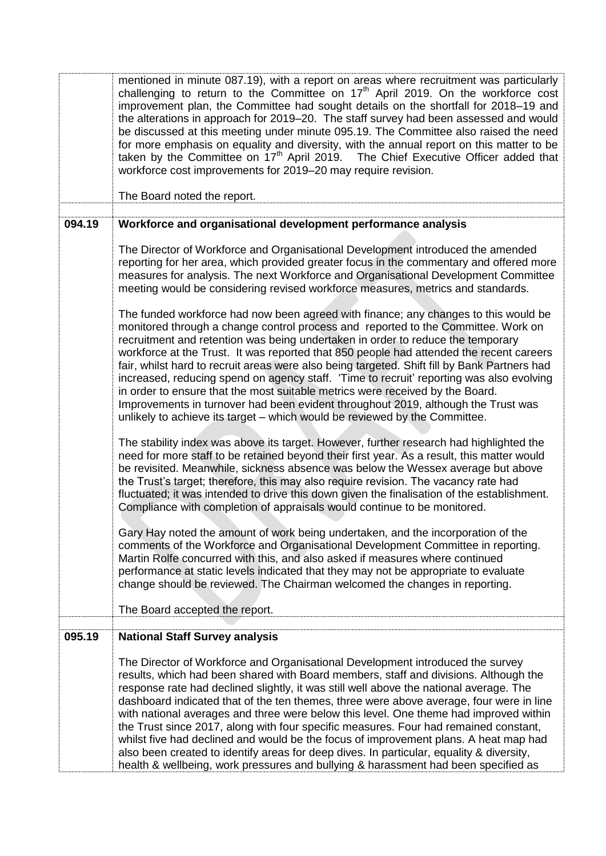|        | mentioned in minute 087.19), with a report on areas where recruitment was particularly<br>challenging to return to the Committee on $17th$ April 2019. On the workforce cost<br>improvement plan, the Committee had sought details on the shortfall for 2018-19 and<br>the alterations in approach for 2019–20. The staff survey had been assessed and would<br>be discussed at this meeting under minute 095.19. The Committee also raised the need<br>for more emphasis on equality and diversity, with the annual report on this matter to be<br>taken by the Committee on 17 <sup>th</sup> April 2019. The Chief Executive Officer added that<br>workforce cost improvements for 2019-20 may require revision.                                                                                                     |
|--------|------------------------------------------------------------------------------------------------------------------------------------------------------------------------------------------------------------------------------------------------------------------------------------------------------------------------------------------------------------------------------------------------------------------------------------------------------------------------------------------------------------------------------------------------------------------------------------------------------------------------------------------------------------------------------------------------------------------------------------------------------------------------------------------------------------------------|
|        | The Board noted the report.                                                                                                                                                                                                                                                                                                                                                                                                                                                                                                                                                                                                                                                                                                                                                                                            |
| 094.19 | Workforce and organisational development performance analysis                                                                                                                                                                                                                                                                                                                                                                                                                                                                                                                                                                                                                                                                                                                                                          |
|        | The Director of Workforce and Organisational Development introduced the amended<br>reporting for her area, which provided greater focus in the commentary and offered more<br>measures for analysis. The next Workforce and Organisational Development Committee<br>meeting would be considering revised workforce measures, metrics and standards.                                                                                                                                                                                                                                                                                                                                                                                                                                                                    |
|        | The funded workforce had now been agreed with finance; any changes to this would be<br>monitored through a change control process and reported to the Committee. Work on<br>recruitment and retention was being undertaken in order to reduce the temporary<br>workforce at the Trust. It was reported that 850 people had attended the recent careers<br>fair, whilst hard to recruit areas were also being targeted. Shift fill by Bank Partners had<br>increased, reducing spend on agency staff. 'Time to recruit' reporting was also evolving<br>in order to ensure that the most suitable metrics were received by the Board.<br>Improvements in turnover had been evident throughout 2019, although the Trust was<br>unlikely to achieve its target - which would be reviewed by the Committee.                 |
|        | The stability index was above its target. However, further research had highlighted the<br>need for more staff to be retained beyond their first year. As a result, this matter would<br>be revisited. Meanwhile, sickness absence was below the Wessex average but above<br>the Trust's target; therefore, this may also require revision. The vacancy rate had<br>fluctuated; it was intended to drive this down given the finalisation of the establishment.<br>Compliance with completion of appraisals would continue to be monitored.                                                                                                                                                                                                                                                                            |
|        | Gary Hay noted the amount of work being undertaken, and the incorporation of the<br>comments of the Workforce and Organisational Development Committee in reporting.<br>Martin Rolfe concurred with this, and also asked if measures where continued<br>performance at static levels indicated that they may not be appropriate to evaluate<br>change should be reviewed. The Chairman welcomed the changes in reporting.                                                                                                                                                                                                                                                                                                                                                                                              |
|        | The Board accepted the report.                                                                                                                                                                                                                                                                                                                                                                                                                                                                                                                                                                                                                                                                                                                                                                                         |
| 095.19 | <b>National Staff Survey analysis</b>                                                                                                                                                                                                                                                                                                                                                                                                                                                                                                                                                                                                                                                                                                                                                                                  |
|        | The Director of Workforce and Organisational Development introduced the survey<br>results, which had been shared with Board members, staff and divisions. Although the<br>response rate had declined slightly, it was still well above the national average. The<br>dashboard indicated that of the ten themes, three were above average, four were in line<br>with national averages and three were below this level. One theme had improved within<br>the Trust since 2017, along with four specific measures. Four had remained constant,<br>whilst five had declined and would be the focus of improvement plans. A heat map had<br>also been created to identify areas for deep dives. In particular, equality & diversity,<br>health & wellbeing, work pressures and bullying & harassment had been specified as |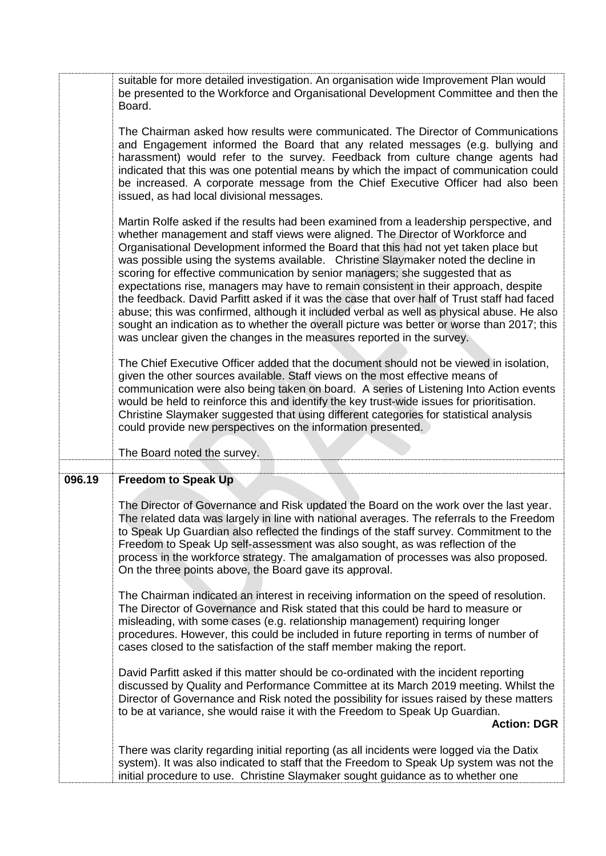|        | suitable for more detailed investigation. An organisation wide Improvement Plan would<br>be presented to the Workforce and Organisational Development Committee and then the<br>Board.<br>The Chairman asked how results were communicated. The Director of Communications<br>and Engagement informed the Board that any related messages (e.g. bullying and<br>harassment) would refer to the survey. Feedback from culture change agents had<br>indicated that this was one potential means by which the impact of communication could<br>be increased. A corporate message from the Chief Executive Officer had also been<br>issued, as had local divisional messages.<br>Martin Rolfe asked if the results had been examined from a leadership perspective, and<br>whether management and staff views were aligned. The Director of Workforce and<br>Organisational Development informed the Board that this had not yet taken place but<br>was possible using the systems available. Christine Slaymaker noted the decline in<br>scoring for effective communication by senior managers; she suggested that as<br>expectations rise, managers may have to remain consistent in their approach, despite<br>the feedback. David Parfitt asked if it was the case that over half of Trust staff had faced<br>abuse; this was confirmed, although it included verbal as well as physical abuse. He also<br>sought an indication as to whether the overall picture was better or worse than 2017; this |
|--------|--------------------------------------------------------------------------------------------------------------------------------------------------------------------------------------------------------------------------------------------------------------------------------------------------------------------------------------------------------------------------------------------------------------------------------------------------------------------------------------------------------------------------------------------------------------------------------------------------------------------------------------------------------------------------------------------------------------------------------------------------------------------------------------------------------------------------------------------------------------------------------------------------------------------------------------------------------------------------------------------------------------------------------------------------------------------------------------------------------------------------------------------------------------------------------------------------------------------------------------------------------------------------------------------------------------------------------------------------------------------------------------------------------------------------------------------------------------------------------------------------------|
|        | was unclear given the changes in the measures reported in the survey.<br>The Chief Executive Officer added that the document should not be viewed in isolation,<br>given the other sources available. Staff views on the most effective means of<br>communication were also being taken on board. A series of Listening Into Action events<br>would be held to reinforce this and identify the key trust-wide issues for prioritisation.<br>Christine Slaymaker suggested that using different categories for statistical analysis<br>could provide new perspectives on the information presented.<br>The Board noted the survey.                                                                                                                                                                                                                                                                                                                                                                                                                                                                                                                                                                                                                                                                                                                                                                                                                                                                      |
| 096.19 | <b>Freedom to Speak Up</b><br>The Director of Governance and Risk updated the Board on the work over the last year.<br>The related data was largely in line with national averages. The referrals to the Freedom<br>to Speak Up Guardian also reflected the findings of the staff survey. Commitment to the<br>Freedom to Speak Up self-assessment was also sought, as was reflection of the<br>process in the workforce strategy. The amalgamation of processes was also proposed.<br>On the three points above, the Board gave its approval.<br>The Chairman indicated an interest in receiving information on the speed of resolution.<br>The Director of Governance and Risk stated that this could be hard to measure or<br>misleading, with some cases (e.g. relationship management) requiring longer<br>procedures. However, this could be included in future reporting in terms of number of<br>cases closed to the satisfaction of the staff member making the report.<br>David Parfitt asked if this matter should be co-ordinated with the incident reporting<br>discussed by Quality and Performance Committee at its March 2019 meeting. Whilst the<br>Director of Governance and Risk noted the possibility for issues raised by these matters<br>to be at variance, she would raise it with the Freedom to Speak Up Guardian.<br><b>Action: DGR</b>                                                                                                                                    |
|        | There was clarity regarding initial reporting (as all incidents were logged via the Datix<br>system). It was also indicated to staff that the Freedom to Speak Up system was not the<br>initial procedure to use. Christine Slaymaker sought guidance as to whether one                                                                                                                                                                                                                                                                                                                                                                                                                                                                                                                                                                                                                                                                                                                                                                                                                                                                                                                                                                                                                                                                                                                                                                                                                                |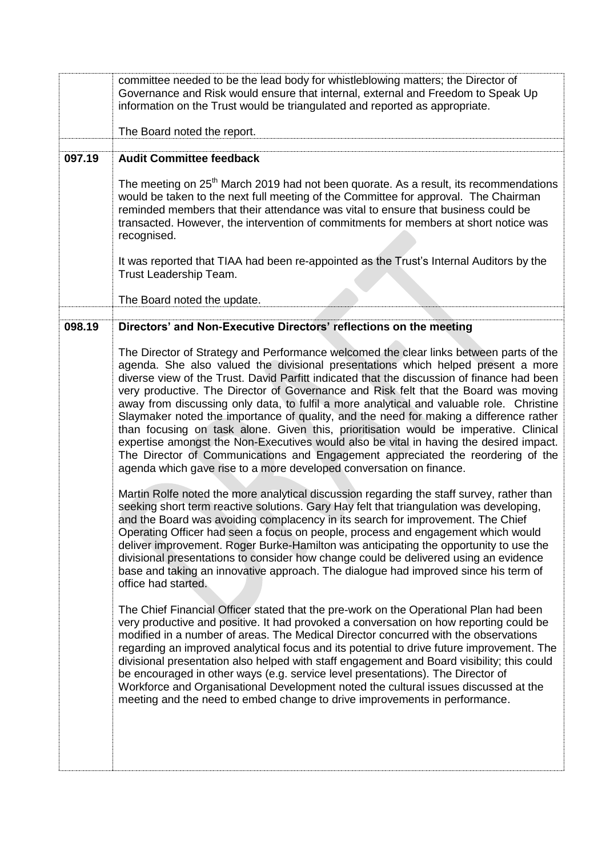|        | committee needed to be the lead body for whistleblowing matters; the Director of<br>Governance and Risk would ensure that internal, external and Freedom to Speak Up<br>information on the Trust would be triangulated and reported as appropriate.<br>The Board noted the report.                                                                                                                                                                                                                                                                                                                                                                                                                                                                                                                                                                                                                                                                                                                                                                                                                                                                                                                                                                                                                                                                                                                                                                                                                                                                                                                                                                                                                                                                                                                                        |
|--------|---------------------------------------------------------------------------------------------------------------------------------------------------------------------------------------------------------------------------------------------------------------------------------------------------------------------------------------------------------------------------------------------------------------------------------------------------------------------------------------------------------------------------------------------------------------------------------------------------------------------------------------------------------------------------------------------------------------------------------------------------------------------------------------------------------------------------------------------------------------------------------------------------------------------------------------------------------------------------------------------------------------------------------------------------------------------------------------------------------------------------------------------------------------------------------------------------------------------------------------------------------------------------------------------------------------------------------------------------------------------------------------------------------------------------------------------------------------------------------------------------------------------------------------------------------------------------------------------------------------------------------------------------------------------------------------------------------------------------------------------------------------------------------------------------------------------------|
| 097.19 | <b>Audit Committee feedback</b>                                                                                                                                                                                                                                                                                                                                                                                                                                                                                                                                                                                                                                                                                                                                                                                                                                                                                                                                                                                                                                                                                                                                                                                                                                                                                                                                                                                                                                                                                                                                                                                                                                                                                                                                                                                           |
|        | The meeting on 25 <sup>th</sup> March 2019 had not been quorate. As a result, its recommendations<br>would be taken to the next full meeting of the Committee for approval. The Chairman<br>reminded members that their attendance was vital to ensure that business could be<br>transacted. However, the intervention of commitments for members at short notice was<br>recognised.<br>It was reported that TIAA had been re-appointed as the Trust's Internal Auditors by the<br>Trust Leadership Team.                                                                                                                                                                                                                                                                                                                                                                                                                                                                                                                                                                                                                                                                                                                                                                                                                                                                                                                                                                                                                                                                                                                                                                                                                                                                                                                 |
|        | The Board noted the update.                                                                                                                                                                                                                                                                                                                                                                                                                                                                                                                                                                                                                                                                                                                                                                                                                                                                                                                                                                                                                                                                                                                                                                                                                                                                                                                                                                                                                                                                                                                                                                                                                                                                                                                                                                                               |
|        |                                                                                                                                                                                                                                                                                                                                                                                                                                                                                                                                                                                                                                                                                                                                                                                                                                                                                                                                                                                                                                                                                                                                                                                                                                                                                                                                                                                                                                                                                                                                                                                                                                                                                                                                                                                                                           |
| 098.19 | Directors' and Non-Executive Directors' reflections on the meeting<br>The Director of Strategy and Performance welcomed the clear links between parts of the<br>agenda. She also valued the divisional presentations which helped present a more<br>diverse view of the Trust. David Parfitt indicated that the discussion of finance had been<br>very productive. The Director of Governance and Risk felt that the Board was moving<br>away from discussing only data, to fulfil a more analytical and valuable role. Christine<br>Slaymaker noted the importance of quality, and the need for making a difference rather<br>than focusing on task alone. Given this, prioritisation would be imperative. Clinical<br>expertise amongst the Non-Executives would also be vital in having the desired impact.<br>The Director of Communications and Engagement appreciated the reordering of the<br>agenda which gave rise to a more developed conversation on finance.<br>Martin Rolfe noted the more analytical discussion regarding the staff survey, rather than<br>seeking short term reactive solutions. Gary Hay felt that triangulation was developing,<br>and the Board was avoiding complacency in its search for improvement. The Chief<br>Operating Officer had seen a focus on people, process and engagement which would<br>deliver improvement. Roger Burke-Hamilton was anticipating the opportunity to use the<br>divisional presentations to consider how change could be delivered using an evidence<br>base and taking an innovative approach. The dialogue had improved since his term of<br>office had started.<br>The Chief Financial Officer stated that the pre-work on the Operational Plan had been<br>very productive and positive. It had provoked a conversation on how reporting could be |
|        | modified in a number of areas. The Medical Director concurred with the observations<br>regarding an improved analytical focus and its potential to drive future improvement. The<br>divisional presentation also helped with staff engagement and Board visibility; this could<br>be encouraged in other ways (e.g. service level presentations). The Director of<br>Workforce and Organisational Development noted the cultural issues discussed at the<br>meeting and the need to embed change to drive improvements in performance.                                                                                                                                                                                                                                                                                                                                                                                                                                                                                                                                                                                                                                                                                                                                                                                                                                                                                                                                                                                                                                                                                                                                                                                                                                                                                    |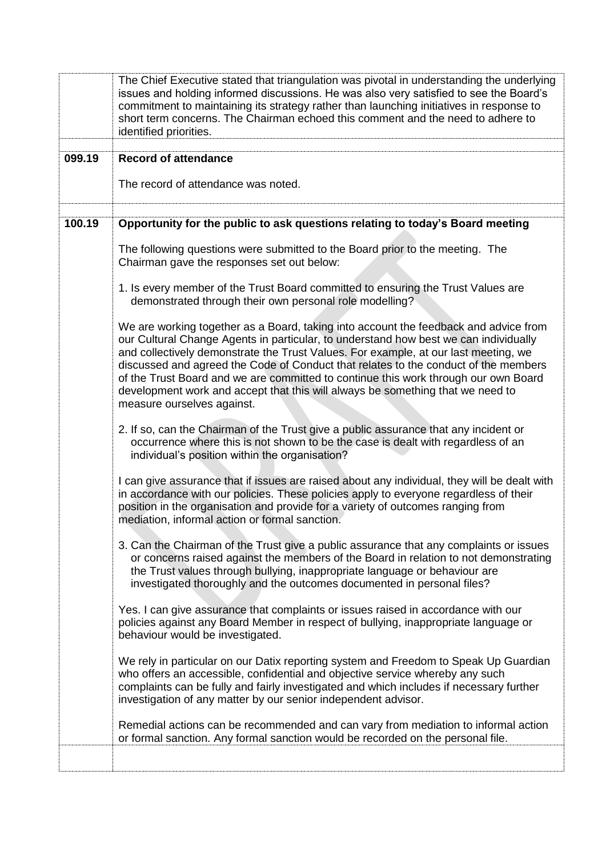|        | The Chief Executive stated that triangulation was pivotal in understanding the underlying<br>issues and holding informed discussions. He was also very satisfied to see the Board's<br>commitment to maintaining its strategy rather than launching initiatives in response to<br>short term concerns. The Chairman echoed this comment and the need to adhere to<br>identified priorities.                                                                                                                                                                       |
|--------|-------------------------------------------------------------------------------------------------------------------------------------------------------------------------------------------------------------------------------------------------------------------------------------------------------------------------------------------------------------------------------------------------------------------------------------------------------------------------------------------------------------------------------------------------------------------|
| 099.19 | <b>Record of attendance</b>                                                                                                                                                                                                                                                                                                                                                                                                                                                                                                                                       |
|        | The record of attendance was noted.                                                                                                                                                                                                                                                                                                                                                                                                                                                                                                                               |
| 100.19 | Opportunity for the public to ask questions relating to today's Board meeting                                                                                                                                                                                                                                                                                                                                                                                                                                                                                     |
|        | The following questions were submitted to the Board prior to the meeting. The<br>Chairman gave the responses set out below:                                                                                                                                                                                                                                                                                                                                                                                                                                       |
|        | 1. Is every member of the Trust Board committed to ensuring the Trust Values are<br>demonstrated through their own personal role modelling?                                                                                                                                                                                                                                                                                                                                                                                                                       |
|        | We are working together as a Board, taking into account the feedback and advice from<br>our Cultural Change Agents in particular, to understand how best we can individually<br>and collectively demonstrate the Trust Values. For example, at our last meeting, we<br>discussed and agreed the Code of Conduct that relates to the conduct of the members<br>of the Trust Board and we are committed to continue this work through our own Board<br>development work and accept that this will always be something that we need to<br>measure ourselves against. |
|        | 2. If so, can the Chairman of the Trust give a public assurance that any incident or<br>occurrence where this is not shown to be the case is dealt with regardless of an<br>individual's position within the organisation?                                                                                                                                                                                                                                                                                                                                        |
|        | I can give assurance that if issues are raised about any individual, they will be dealt with<br>in accordance with our policies. These policies apply to everyone regardless of their<br>position in the organisation and provide for a variety of outcomes ranging from<br>mediation, informal action or formal sanction.                                                                                                                                                                                                                                        |
|        | 3. Can the Chairman of the Trust give a public assurance that any complaints or issues<br>or concerns raised against the members of the Board in relation to not demonstrating<br>the Trust values through bullying, inappropriate language or behaviour are<br>investigated thoroughly and the outcomes documented in personal files?                                                                                                                                                                                                                            |
|        | Yes. I can give assurance that complaints or issues raised in accordance with our<br>policies against any Board Member in respect of bullying, inappropriate language or<br>behaviour would be investigated.                                                                                                                                                                                                                                                                                                                                                      |
|        | We rely in particular on our Datix reporting system and Freedom to Speak Up Guardian<br>who offers an accessible, confidential and objective service whereby any such<br>complaints can be fully and fairly investigated and which includes if necessary further<br>investigation of any matter by our senior independent advisor.                                                                                                                                                                                                                                |
|        | Remedial actions can be recommended and can vary from mediation to informal action<br>or formal sanction. Any formal sanction would be recorded on the personal file.                                                                                                                                                                                                                                                                                                                                                                                             |
|        |                                                                                                                                                                                                                                                                                                                                                                                                                                                                                                                                                                   |